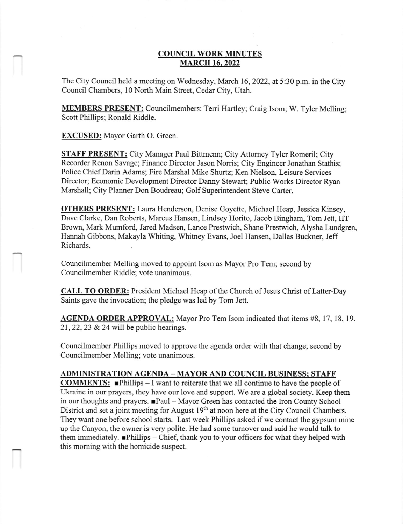### **COUNCIL WORK MINUTES MARCH 16, 2022**

The City Council held a meeting on Wednesday, March 16, 2022, at 5:30 p.m. in the City Council Chambers. l0 North Main Street, Cedar City, Utah.

MEMBERS PRESENT: Councilmembers: Terri Hartley; Craig Isom; W. Tyler Melling; Scott Phillips; Ronald Riddle.

EXCUSED: Mayor Garth O. Green.

STAFF PRESENT: City Manager Paul Bittmenn; City Attomey Tyler Romeril; City Recorder Renon Savage; Finance Director Jason Norris; City Engineer Jonathan Stathis; Police Chief Darin Adams; Fire Marshal Mike Shurtz; Ken Nielson, Leisure Services Director; Economic Development Director Danny Stewart; Public Works Director Ryan Marshall; City Planner Don Boudreau; Golf Superintendent Steve Carter.

**OTHERS PRESENT:** Laura Henderson, Denise Goyette, Michael Heap, Jessica Kinsey, Dave Clarke, Dan Roberts, Marcus Hansen, Lindsey Horito, Jacob Bingham, Tom Jett, HT Brown, Mark Mumford, Jared Madsen, Lance Prestwich, Shane Prestwich, Alysha Lundgren, Hannah Gibbons, Makayla Whiting, Whitney Evans, Joel Hansen, Dallas Buckner, Jeff Richards.

Councilmember Melling moved to appoint Isom as Mayor Pro Tem; second by Councilmember Riddle; vote unanimous.

CALL TO ORDER: President Michael Heap of the Church of Jesus Christ of Latter-Day Saints gave the invocation; the pledge was led by Tom Jett.

AGENDA ORDER APPROVAL: Mayor Pro Tem Isom indicated that iterns #8, 17, 18, 19. 21,22,23 & 24 will be public hearings.

Councilmember Phillips moved to approve the agenda order with that change; second by Councilmember Melling; vote unanimous.

#### ADMINISTRATION AGENDA - MAYOR AND COUNCIL BUSINESS: STAFF

**COMMENTS:**  $\blacksquare$ Phillips - I want to reiterate that we all continue to have the people of Ukraine in our prayers, they have our love and support. We are a global society. Keep them in our thoughts and prayers.  $\blacksquare$ Paul - Mayor Green has contacted the Iron County School District and set a joint meeting for August 19<sup>th</sup> at noon here at the City Council Chambers. They want one before school starts. Last week Phillips asked if we contact the gypsum mine up the Canyon, the owner is very polite. He had some tumover and said he would talk to them immediately. **Phillips**  $-$  Chief, thank you to your officers for what they helped with this moming with the homicide suspect.